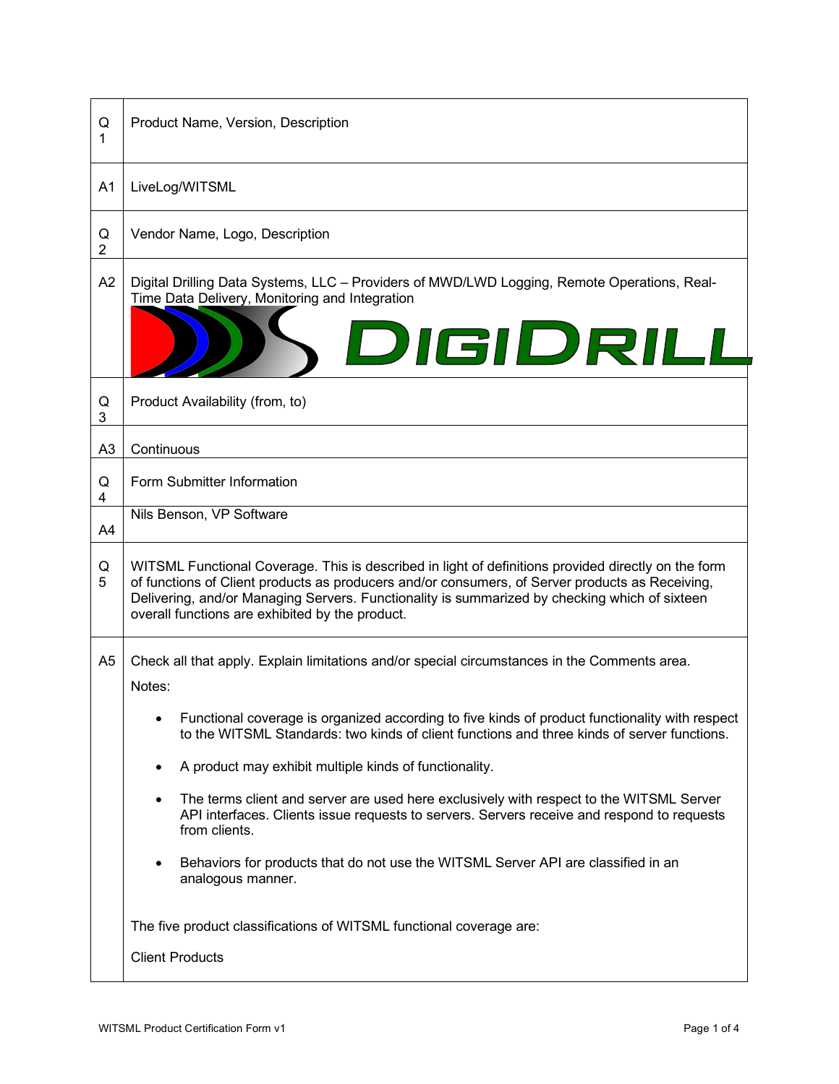| Q<br>1              | Product Name, Version, Description                                                                                                                                                                                                                                                                                                                         |  |  |
|---------------------|------------------------------------------------------------------------------------------------------------------------------------------------------------------------------------------------------------------------------------------------------------------------------------------------------------------------------------------------------------|--|--|
| A <sub>1</sub>      | LiveLog/WITSML                                                                                                                                                                                                                                                                                                                                             |  |  |
| Q<br>$\overline{2}$ | Vendor Name, Logo, Description                                                                                                                                                                                                                                                                                                                             |  |  |
| A2                  | Digital Drilling Data Systems, LLC - Providers of MWD/LWD Logging, Remote Operations, Real-<br>Time Data Delivery, Monitoring and Integration<br>DIGIDRILL                                                                                                                                                                                                 |  |  |
| Q<br>3              | Product Availability (from, to)                                                                                                                                                                                                                                                                                                                            |  |  |
| A <sub>3</sub>      | Continuous                                                                                                                                                                                                                                                                                                                                                 |  |  |
| Q<br>4              | Form Submitter Information                                                                                                                                                                                                                                                                                                                                 |  |  |
| A4                  | Nils Benson, VP Software                                                                                                                                                                                                                                                                                                                                   |  |  |
| Q<br>5              | WITSML Functional Coverage. This is described in light of definitions provided directly on the form<br>of functions of Client products as producers and/or consumers, of Server products as Receiving,<br>Delivering, and/or Managing Servers. Functionality is summarized by checking which of sixteen<br>overall functions are exhibited by the product. |  |  |
| A5                  | Check all that apply. Explain limitations and/or special circumstances in the Comments area.<br>Notes:                                                                                                                                                                                                                                                     |  |  |
|                     | Functional coverage is organized according to five kinds of product functionality with respect<br>to the WITSML Standards: two kinds of client functions and three kinds of server functions.                                                                                                                                                              |  |  |
|                     | A product may exhibit multiple kinds of functionality.                                                                                                                                                                                                                                                                                                     |  |  |
|                     | The terms client and server are used here exclusively with respect to the WITSML Server<br>API interfaces. Clients issue requests to servers. Servers receive and respond to requests<br>from clients.                                                                                                                                                     |  |  |
|                     | Behaviors for products that do not use the WITSML Server API are classified in an<br>$\bullet$<br>analogous manner.                                                                                                                                                                                                                                        |  |  |
|                     | The five product classifications of WITSML functional coverage are:                                                                                                                                                                                                                                                                                        |  |  |
|                     | <b>Client Products</b>                                                                                                                                                                                                                                                                                                                                     |  |  |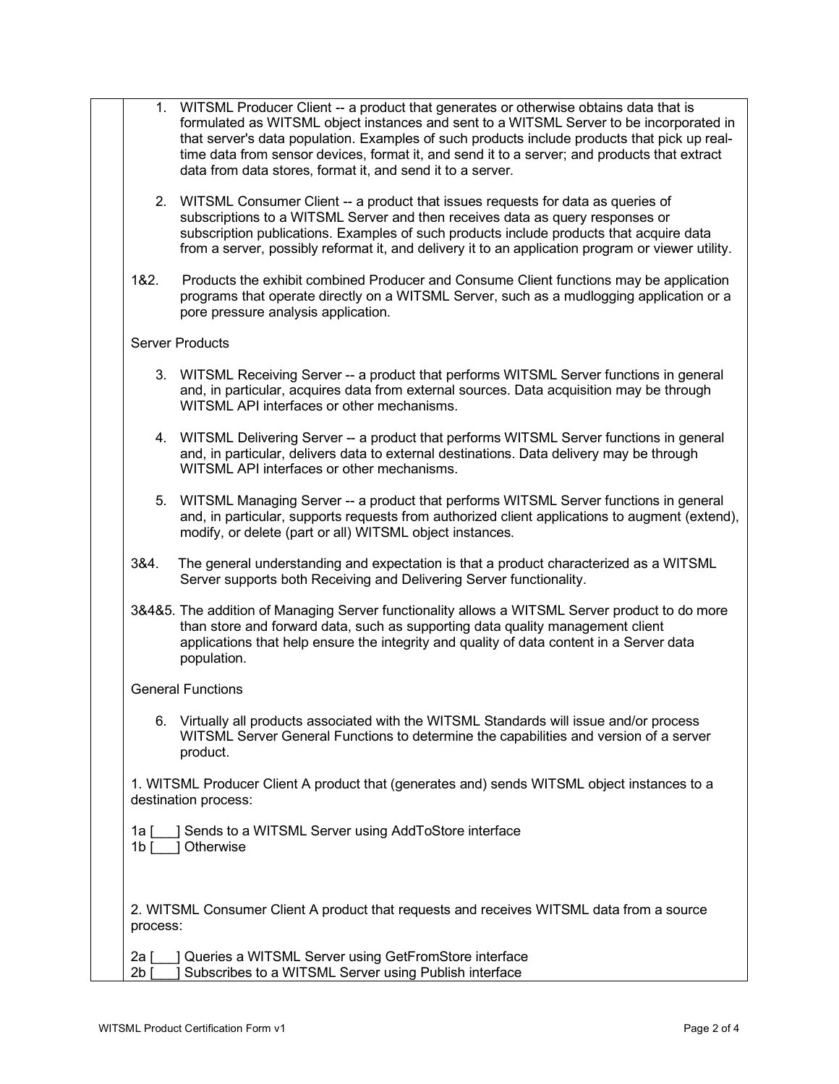|                        | 1. WITSML Producer Client -- a product that generates or otherwise obtains data that is<br>formulated as WITSML object instances and sent to a WITSML Server to be incorporated in<br>that server's data population. Examples of such products include products that pick up real-<br>time data from sensor devices, format it, and send it to a server; and products that extract<br>data from data stores, format it, and send it to a server. |
|------------------------|--------------------------------------------------------------------------------------------------------------------------------------------------------------------------------------------------------------------------------------------------------------------------------------------------------------------------------------------------------------------------------------------------------------------------------------------------|
|                        | 2. WITSML Consumer Client -- a product that issues requests for data as queries of<br>subscriptions to a WITSML Server and then receives data as query responses or<br>subscription publications. Examples of such products include products that acquire data<br>from a server, possibly reformat it, and delivery it to an application program or viewer utility.                                                                              |
| 1&2.                   | Products the exhibit combined Producer and Consume Client functions may be application<br>programs that operate directly on a WITSML Server, such as a mudlogging application or a<br>pore pressure analysis application.                                                                                                                                                                                                                        |
|                        | <b>Server Products</b>                                                                                                                                                                                                                                                                                                                                                                                                                           |
|                        | 3. WITSML Receiving Server -- a product that performs WITSML Server functions in general<br>and, in particular, acquires data from external sources. Data acquisition may be through<br>WITSML API interfaces or other mechanisms.                                                                                                                                                                                                               |
|                        | 4. WITSML Delivering Server -- a product that performs WITSML Server functions in general<br>and, in particular, delivers data to external destinations. Data delivery may be through<br>WITSML API interfaces or other mechanisms.                                                                                                                                                                                                              |
|                        | 5. WITSML Managing Server -- a product that performs WITSML Server functions in general<br>and, in particular, supports requests from authorized client applications to augment (extend),<br>modify, or delete (part or all) WITSML object instances.                                                                                                                                                                                            |
| 3&4.                   | The general understanding and expectation is that a product characterized as a WITSML<br>Server supports both Receiving and Delivering Server functionality.                                                                                                                                                                                                                                                                                     |
|                        | 3&4&5. The addition of Managing Server functionality allows a WITSML Server product to do more<br>than store and forward data, such as supporting data quality management client<br>applications that help ensure the integrity and quality of data content in a Server data<br>population.                                                                                                                                                      |
|                        | <b>General Functions</b>                                                                                                                                                                                                                                                                                                                                                                                                                         |
|                        | 6. Virtually all products associated with the WITSML Standards will issue and/or process<br>WITSML Server General Functions to determine the capabilities and version of a server<br>product.                                                                                                                                                                                                                                                    |
|                        | 1. WITSML Producer Client A product that (generates and) sends WITSML object instances to a<br>destination process:                                                                                                                                                                                                                                                                                                                              |
| 1a [<br>1 <sub>b</sub> | ] Sends to a WITSML Server using AddToStore interface<br>Otherwise                                                                                                                                                                                                                                                                                                                                                                               |
| process:               | 2. WITSML Consumer Client A product that requests and receives WITSML data from a source                                                                                                                                                                                                                                                                                                                                                         |
| 2a [<br>2b             | Queries a WITSML Server using GetFromStore interface<br>Subscribes to a WITSML Server using Publish interface                                                                                                                                                                                                                                                                                                                                    |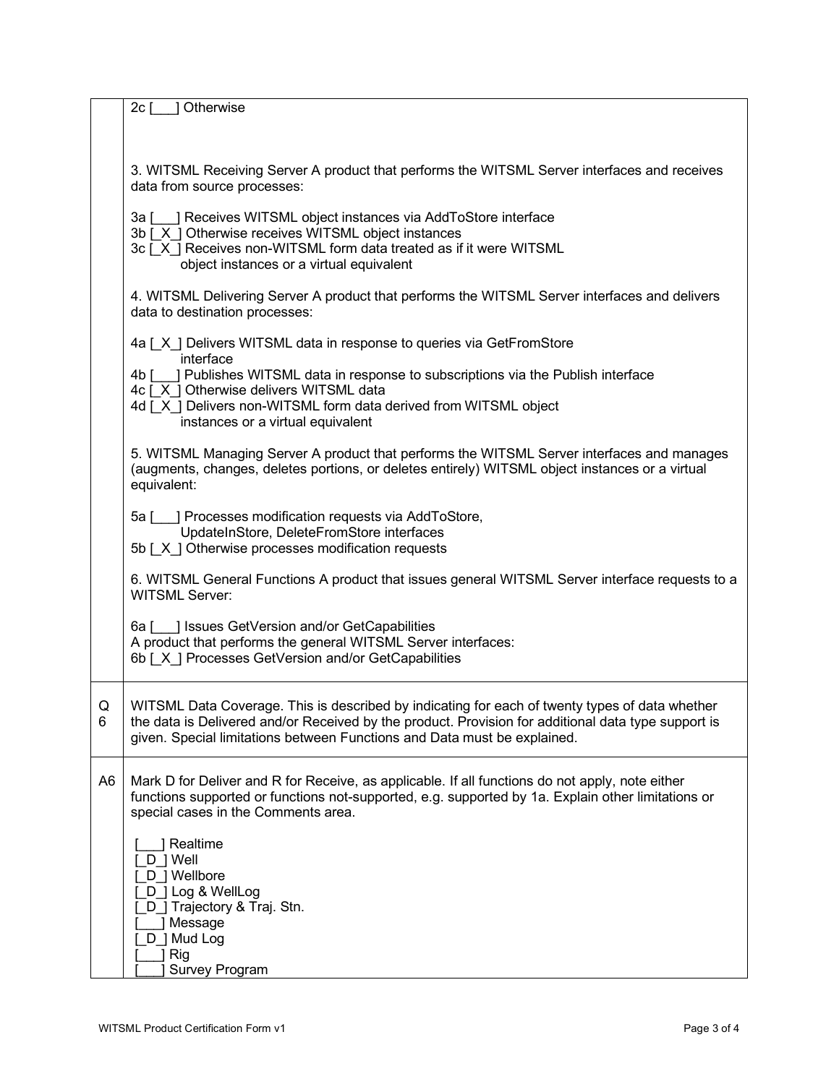|                | 2c <sub>1</sub><br>Otherwise                                                                                                                                                                          |
|----------------|-------------------------------------------------------------------------------------------------------------------------------------------------------------------------------------------------------|
|                |                                                                                                                                                                                                       |
|                |                                                                                                                                                                                                       |
|                | 3. WITSML Receiving Server A product that performs the WITSML Server interfaces and receives                                                                                                          |
|                | data from source processes:                                                                                                                                                                           |
|                |                                                                                                                                                                                                       |
|                | 3a [___] Receives WITSML object instances via AddToStore interface                                                                                                                                    |
|                | 3b [X] Otherwise receives WITSML object instances<br>3c [X] Receives non-WITSML form data treated as if it were WITSML                                                                                |
|                | object instances or a virtual equivalent                                                                                                                                                              |
|                |                                                                                                                                                                                                       |
|                | 4. WITSML Delivering Server A product that performs the WITSML Server interfaces and delivers                                                                                                         |
|                | data to destination processes:                                                                                                                                                                        |
|                | 4a [X] Delivers WITSML data in response to queries via GetFromStore                                                                                                                                   |
|                | interface                                                                                                                                                                                             |
|                | 4b [ ] Publishes WITSML data in response to subscriptions via the Publish interface                                                                                                                   |
|                | 4c [ X ] Otherwise delivers WITSML data                                                                                                                                                               |
|                | 4d [ X ] Delivers non-WITSML form data derived from WITSML object                                                                                                                                     |
|                | instances or a virtual equivalent                                                                                                                                                                     |
|                | 5. WITSML Managing Server A product that performs the WITSML Server interfaces and manages                                                                                                            |
|                | (augments, changes, deletes portions, or deletes entirely) WITSML object instances or a virtual                                                                                                       |
|                | equivalent:                                                                                                                                                                                           |
|                | 5a [___] Processes modification requests via AddToStore,                                                                                                                                              |
|                | UpdateInStore, DeleteFromStore interfaces                                                                                                                                                             |
|                | 5b [X] Otherwise processes modification requests                                                                                                                                                      |
|                |                                                                                                                                                                                                       |
|                | 6. WITSML General Functions A product that issues general WITSML Server interface requests to a<br><b>WITSML Server:</b>                                                                              |
|                |                                                                                                                                                                                                       |
|                | 6a [ ] Issues GetVersion and/or GetCapabilities                                                                                                                                                       |
|                | A product that performs the general WITSML Server interfaces:                                                                                                                                         |
|                | 6b [X ] Processes GetVersion and/or GetCapabilities                                                                                                                                                   |
|                |                                                                                                                                                                                                       |
| Q              | WITSML Data Coverage. This is described by indicating for each of twenty types of data whether                                                                                                        |
| 6              | the data is Delivered and/or Received by the product. Provision for additional data type support is                                                                                                   |
|                | given. Special limitations between Functions and Data must be explained.                                                                                                                              |
|                |                                                                                                                                                                                                       |
|                |                                                                                                                                                                                                       |
|                | functions supported or functions not-supported, e.g. supported by 1a. Explain other limitations or                                                                                                    |
|                |                                                                                                                                                                                                       |
|                |                                                                                                                                                                                                       |
|                |                                                                                                                                                                                                       |
|                | [ D ] Wellbore                                                                                                                                                                                        |
|                | _D_] Log & WellLog                                                                                                                                                                                    |
|                | D ] Trajectory & Traj. Stn.                                                                                                                                                                           |
|                |                                                                                                                                                                                                       |
|                |                                                                                                                                                                                                       |
|                |                                                                                                                                                                                                       |
| A <sub>6</sub> | Mark D for Deliver and R for Receive, as applicable. If all functions do not apply, note either<br>special cases in the Comments area.<br>] Realtime<br>D ] Well<br>] Message<br>D ] Mud Log<br>] Rig |